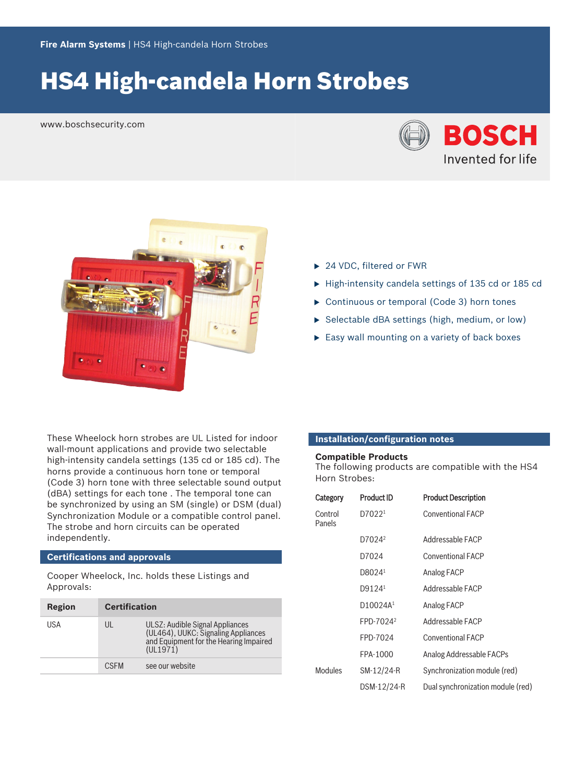# **HS4 High-candela Horn Strobes**

www.boschsecurity.com





- ▶ 24 VDC, filtered or FWR
- $\blacktriangleright$  High-intensity candela settings of 135 cd or 185 cd
- $\triangleright$  Continuous or temporal (Code 3) horn tones
- $\triangleright$  Selectable dBA settings (high, medium, or low)
- $\blacktriangleright$  Easy wall mounting on a variety of back boxes

These Wheelock horn strobes are UL Listed for indoor wall-mount applications and provide two selectable high-intensity candela settings (135 cd or 185 cd). The horns provide a continuous horn tone or temporal (Code 3) horn tone with three selectable sound output (dBA) settings for each tone . The temporal tone can be synchronized by using an SM (single) or DSM (dual) Synchronization Module or a compatible control panel. The strobe and horn circuits can be operated independently.

# **Certifications and approvals**

Cooper Wheelock, Inc. holds these Listings and Approvals:

| Region | <b>Certification</b> |                                                                                                                              |
|--------|----------------------|------------------------------------------------------------------------------------------------------------------------------|
| USA    | UL                   | ULSZ: Audible Signal Appliances<br>(UL464), UUKC: Signaling Appliances<br>and Equipment for the Hearing Impaired<br>(UL1971) |
|        | <b>CSEM</b>          | see our website                                                                                                              |

# **Installation/configuration notes**

### **Compatible Products**

The following products are compatible with the HS4 Horn Strobes:

| Category          | <b>Product ID</b>     | <b>Product Description</b>        |
|-------------------|-----------------------|-----------------------------------|
| Control<br>Panels | D7022 <sup>1</sup>    | <b>Conventional FACP</b>          |
|                   | D7024 <sup>2</sup>    | Addressable FACP                  |
|                   | D7024                 | <b>Conventional FACP</b>          |
|                   | D8024 <sup>1</sup>    | Analog FACP                       |
|                   | D9124 <sup>1</sup>    | Addressable FACP                  |
|                   | D10024A <sup>1</sup>  | Analog FACP                       |
|                   | FPD-7024 <sup>2</sup> | Addressable FACP                  |
|                   | FPD-7024              | <b>Conventional FACP</b>          |
|                   | FPA-1000              | Analog Addressable FACPs          |
| Modules           | SM-12/24-R            | Synchronization module (red)      |
|                   | DSM-12/24-R           | Dual synchronization module (red) |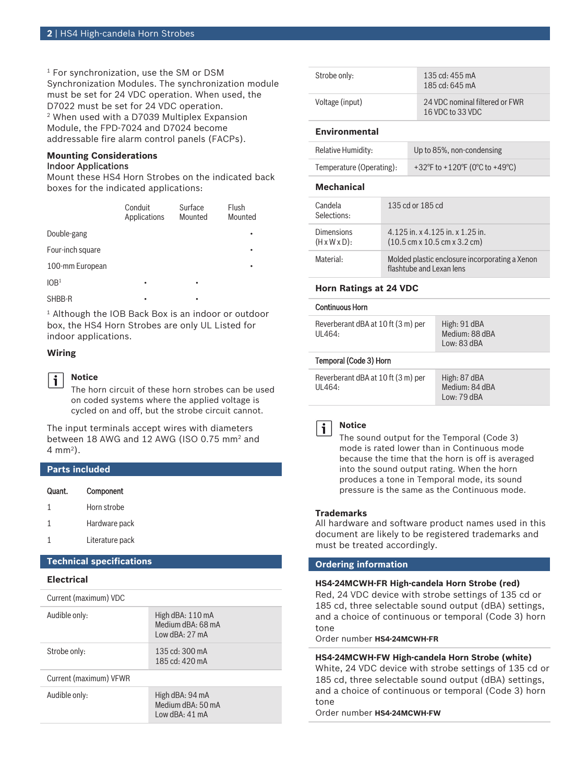1 For synchronization, use the SM or DSM Synchronization Modules. The synchronization module must be set for 24 VDC operation. When used, the D7022 must be set for 24 VDC operation. 2 When used with a D7039 Multiplex Expansion Module, the FPD-7024 and D7024 become addressable fire alarm control panels (FACPs).

#### **Mounting Considerations** Indoor Applications

Mount these HS4 Horn Strobes on the indicated back boxes for the indicated applications:

|                  | Conduit<br>Applications | Surface<br>Mounted | Flush<br>Mounted |
|------------------|-------------------------|--------------------|------------------|
| Double-gang      |                         |                    |                  |
| Four-inch square |                         |                    | ٠                |
| 100-mm European  |                         |                    |                  |
| 10B <sup>1</sup> | ٠                       | ٠                  |                  |
| SHBB-R           |                         | ٠                  |                  |

1 Although the IOB Back Box is an indoor or outdoor box, the HS4 Horn Strobes are only UL Listed for indoor applications.

### **Wiring**

j.

#### **Notice**

The horn circuit of these horn strobes can be used on coded systems where the applied voltage is cycled on and off, but the strobe circuit cannot.

The input terminals accept wires with diameters between 18 AWG and 12 AWG (ISO 0.75 mm<sup>2</sup> and 4 mm<sup>2</sup> ).

### **Parts included**

| Quant. | Component       |
|--------|-----------------|
| 1      | Horn strobe     |
| 1      | Hardware pack   |
|        | Literature pack |

### **Technical specifications**

#### **Electrical**

| Current (maximum) VDC  |                                                         |  |
|------------------------|---------------------------------------------------------|--|
| Audible only:          | High dBA: 110 mA<br>Medium dBA: 68 mA<br>Low dBA: 27 mA |  |
| Strobe only:           | 135 cd: 300 mA<br>185 cd: $420 \text{ mA}$              |  |
| Current (maximum) VFWR |                                                         |  |
| Audible only:          | High dBA: 94 mA<br>Medium dBA: 50 mA<br>Iow dBA: 41 mA  |  |

| Strobe only:         | 135 cd: $455 \text{ mA}$<br>185 cd: $645 \text{ mA}$ |
|----------------------|------------------------------------------------------|
| Voltage (input)      | 24 VDC nominal filtered or FWR<br>16 VDC to 33 VDC   |
| <b>Environmental</b> |                                                      |
| Relative Humidity:   | Up to 85%, non-condensing                            |

#### **Mechanical**

| Candela<br>Selections:                  | 135 cd or 185 cd                                                                                     |
|-----------------------------------------|------------------------------------------------------------------------------------------------------|
| Dimensions<br>$(H \times W \times D)$ : | 4.125 in. x 4.125 in. x 1.25 in.<br>$(10.5 \text{ cm} \times 10.5 \text{ cm} \times 3.2 \text{ cm})$ |
| Material:                               | Molded plastic enclosure incorporating a Xenon<br>flashtube and Lexan lens                           |

#### **Horn Ratings at 24 VDC**

#### Continuous Horn

| Temporal (Code 3) Horn                       |                                               |
|----------------------------------------------|-----------------------------------------------|
| Reverberant dBA at 10 ft (3 m) per<br>UL464: | High: 91 dBA<br>Medium: 88 dBA<br>Low: 83 dBA |

| Reverberant dBA at 10 ft (3 m) per | High: 87 dBA   |
|------------------------------------|----------------|
| UL464:                             | Medium: 84 dBA |
|                                    | Low: $79$ dBA  |

#### **Notice** i

The sound output for the Temporal (Code 3) mode is rated lower than in Continuous mode because the time that the horn is off is averaged into the sound output rating. When the horn produces a tone in Temporal mode, its sound pressure is the same as the Continuous mode.

#### **Trademarks**

All hardware and software product names used in this document are likely to be registered trademarks and must be treated accordingly.

### **Ordering information**

#### **HS4‑24MCWH‑FR High‑candela Horn Strobe (red)**

Red, 24 VDC device with strobe settings of 135 cd or 185 cd, three selectable sound output (dBA) settings, and a choice of continuous or temporal (Code 3) horn tone

Order number **HS4-24MCWH-FR**

# **HS4‑24MCWH‑FW High‑candela Horn Strobe (white)** White, 24 VDC device with strobe settings of 135 cd or 185 cd, three selectable sound output (dBA) settings, and a choice of continuous or temporal (Code 3) horn tone

Order number **HS4-24MCWH-FW**